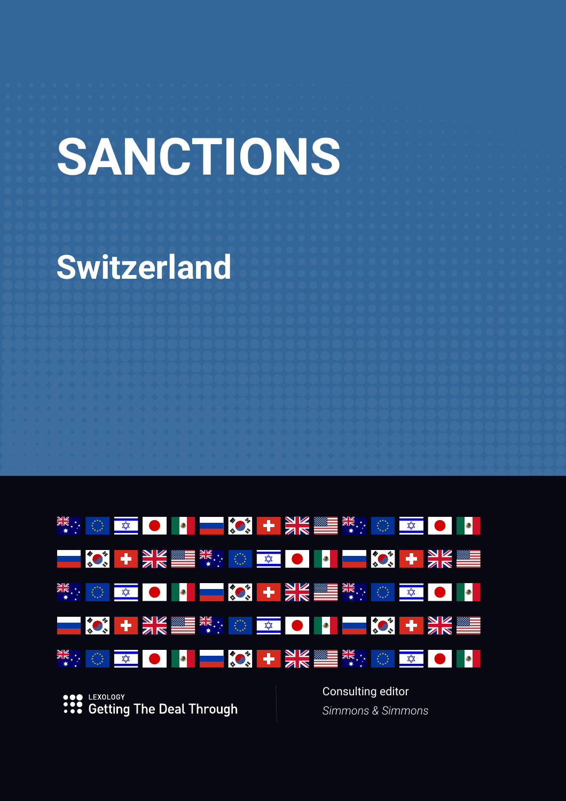# **SANCTIONS**

# **Switzerland**



●●● LEXOLOGY **:::** Getting The Deal Through Consulting editor *Simmons & Simmons*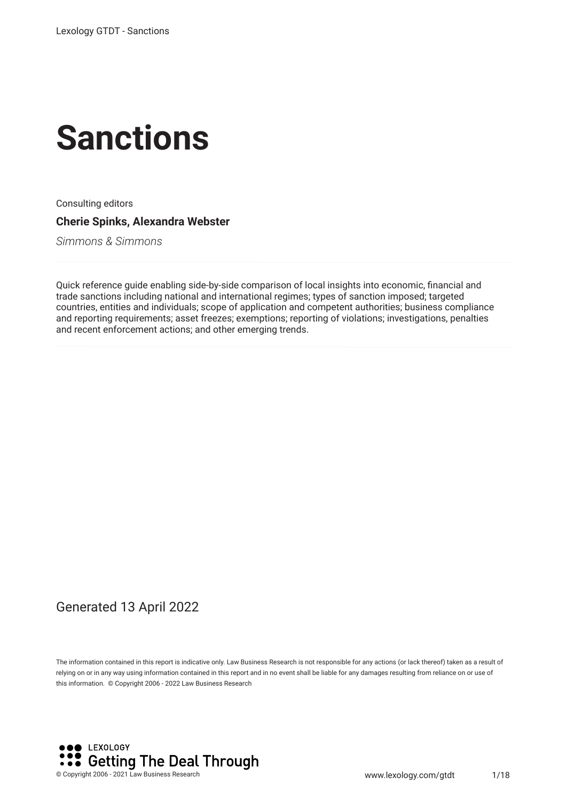# **Sanctions**

Consulting editors

**Cherie Spinks, Alexandra Webster**

*Simmons & Simmons*

Quick reference guide enabling side-by-side comparison of local insights into economic, fnancial and trade sanctions including national and international regimes; types of sanction imposed; targeted countries, entities and individuals; scope of application and competent authorities; business compliance and reporting requirements; asset freezes; exemptions; reporting of violations; investigations, penalties and recent enforcement actions; and other emerging trends.

#### Generated 13 April 2022

The information contained in this report is indicative only. Law Business Research is not responsible for any actions (or lack thereof) taken as a result of relying on or in any way using information contained in this report and in no event shall be liable for any damages resulting from reliance on or use of this information. © Copyright 2006 - 2022 Law Business Research

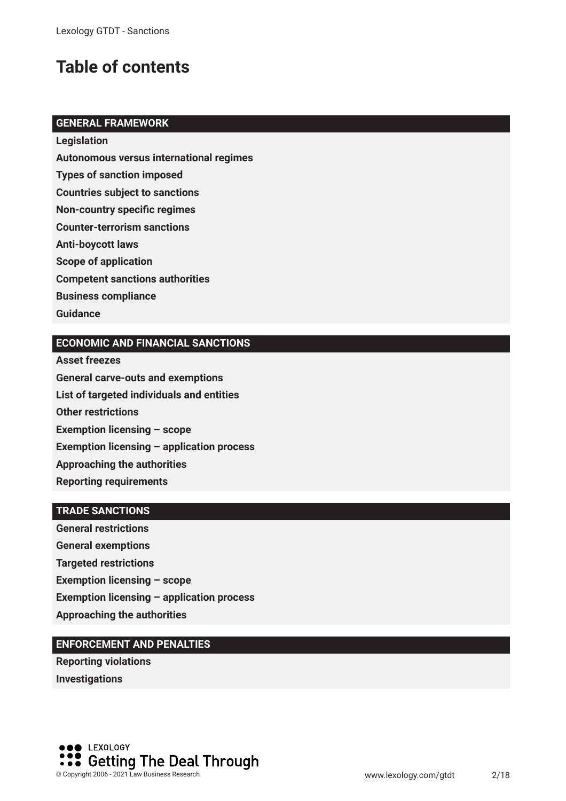## **Table of contents**

#### **GENERAL FRAMEWORK**

**Legislation**

**Autonomous versus international regimes**

**Types of sanction imposed** 

**Countries subject to sanctions**

**Non-country specifc regimes**

**Counter-terrorism sanctions**

**Anti-boycott laws**

**Scope of application**

**Competent sanctions authorities**

**Business compliance**

**Guidance**

#### **ECONOMIC AND FINANCIAL SANCTIONS**

**Asset freezes General carve-outs and exemptions List of targeted individuals and entities Other restrictions Exemption licensing – scope Exemption licensing – application process Approaching the authorities Reporting requirements**

#### **TRADE SANCTIONS**

**General restrictions General exemptions Targeted restrictions Exemption licensing – scope Exemption licensing – application process Approaching the authorities**

#### **ENFORCEMENT AND PENALTIES**

**Reporting violations Investigations**

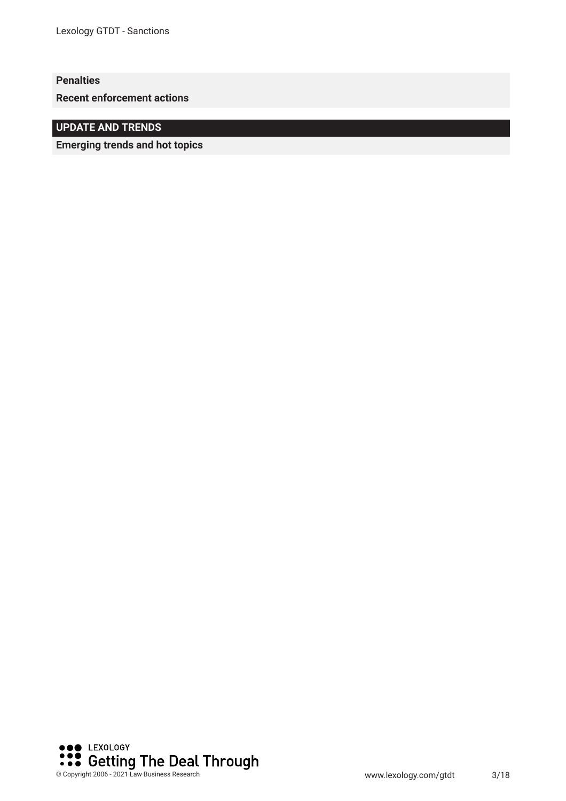#### **Penalties**

**Recent enforcement actions**

#### **UPDATE AND TRENDS**

**Emerging trends and hot topics**

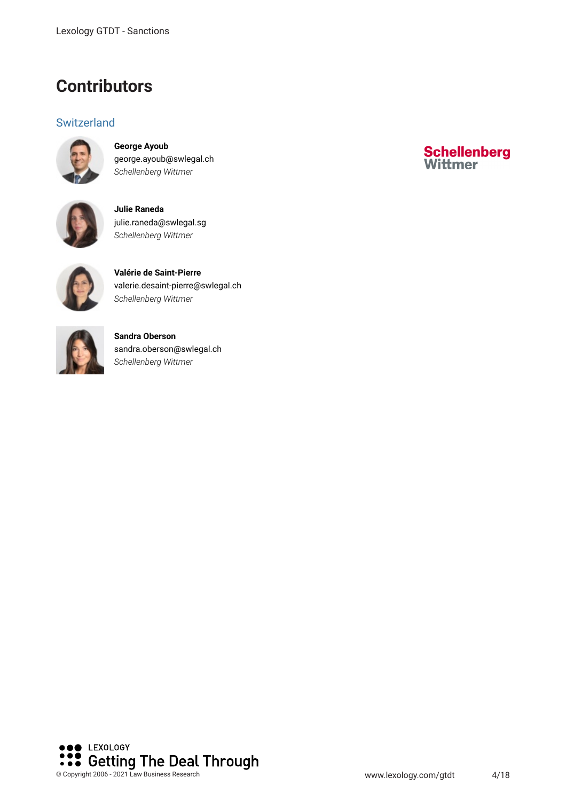### **Contributors**

#### **Switzerland**



**George Ayoub** george.ayoub@swlegal.ch *Schellenberg Wittmer*



**Julie Raneda** julie.raneda@swlegal.sg *Schellenberg Wittmer*



**Valérie de Saint-Pierre** valerie.desaint-pierre@swlegal.ch *Schellenberg Wittmer*



**Sandra Oberson** sandra.oberson@swlegal.ch *Schellenberg Wittmer*



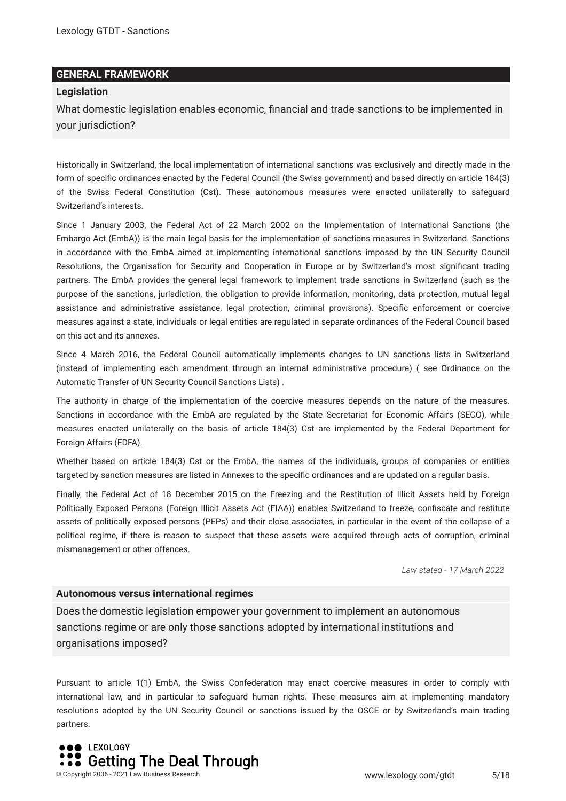#### **GENERAL FRAMEWORK**

#### **Legislation**

What domestic legislation enables economic, fnancial and trade sanctions to be implemented in your jurisdiction?

Historically in Switzerland, the local implementation of international sanctions was exclusively and directly made in the form of specifc ordinances enacted by the Federal Council (the Swiss government) and based directly on article 184(3) of the Swiss Federal Constitution (Cst). These autonomous measures were enacted unilaterally to safeguard Switzerland's interests.

Since 1 January 2003, the Federal Act of 22 March 2002 on the Implementation of International Sanctions (the Embargo Act (EmbA)) is the main legal basis for the implementation of sanctions measures in Switzerland. Sanctions in accordance with the EmbA aimed at implementing international sanctions imposed by the UN Security Council Resolutions, the Organisation for Security and Cooperation in Europe or by Switzerland's most signifcant trading partners. The EmbA provides the general legal framework to implement trade sanctions in Switzerland (such as the purpose of the sanctions, jurisdiction, the obligation to provide information, monitoring, data protection, mutual legal assistance and administrative assistance, legal protection, criminal provisions). Specifc enforcement or coercive measures against a state, individuals or legal entities are regulated in separate ordinances of the Federal Council based on this act and its annexes.

Since 4 March 2016, the Federal Council automatically implements changes to UN sanctions lists in Switzerland (instead of implementing each amendment through an internal administrative procedure) ( see Ordinance on the Automatic Transfer of UN Security Council Sanctions Lists) .

The authority in charge of the implementation of the coercive measures depends on the nature of the measures. Sanctions in accordance with the EmbA are regulated by the State Secretariat for Economic Affairs (SECO), while measures enacted unilaterally on the basis of article 184(3) Cst are implemented by the Federal Department for Foreign Affairs (FDFA).

Whether based on article 184(3) Cst or the EmbA, the names of the individuals, groups of companies or entities targeted by sanction measures are listed in Annexes to the specifc ordinances and are updated on a regular basis.

Finally, the Federal Act of 18 December 2015 on the Freezing and the Restitution of Illicit Assets held by Foreign Politically Exposed Persons (Foreign Illicit Assets Act (FIAA)) enables Switzerland to freeze, confscate and restitute assets of politically exposed persons (PEPs) and their close associates, in particular in the event of the collapse of a political regime, if there is reason to suspect that these assets were acquired through acts of corruption, criminal mismanagement or other offences.

*Law stated - 17 March 2022*

#### **Autonomous versus international regimes**

Does the domestic legislation empower your government to implement an autonomous sanctions regime or are only those sanctions adopted by international institutions and organisations imposed?

Pursuant to article 1(1) EmbA, the Swiss Confederation may enact coercive measures in order to comply with international law, and in particular to safeguard human rights. These measures aim at implementing mandatory resolutions adopted by the UN Security Council or sanctions issued by the OSCE or by Switzerland's main trading partners.

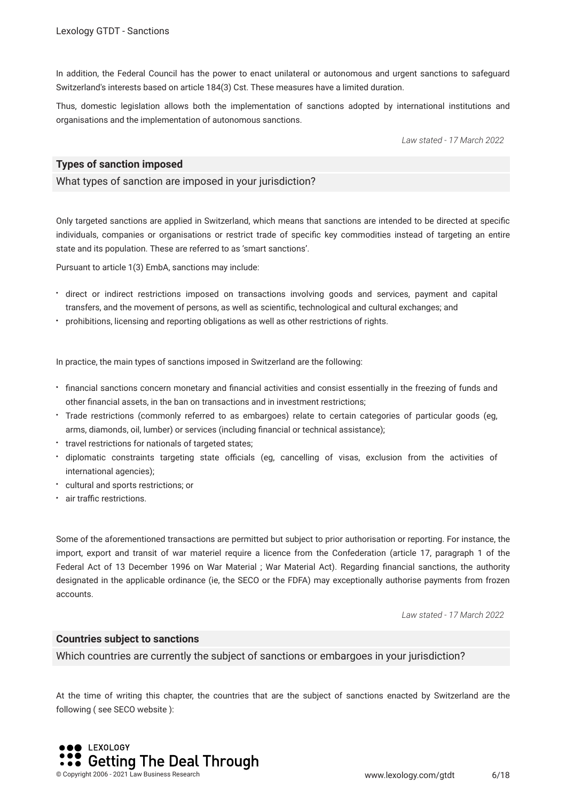In addition, the Federal Council has the power to enact unilateral or autonomous and urgent sanctions to safeguard Switzerland's interests based on article 184(3) Cst. These measures have a limited duration.

Thus, domestic legislation allows both the implementation of sanctions adopted by international institutions and organisations and the implementation of autonomous sanctions.

*Law stated - 17 March 2022*

#### **Types of sanction imposed**

What types of sanction are imposed in your jurisdiction?

Only targeted sanctions are applied in Switzerland, which means that sanctions are intended to be directed at specifc individuals, companies or organisations or restrict trade of specifc key commodities instead of targeting an entire state and its population. These are referred to as 'smart sanctions'.

Pursuant to article 1(3) EmbA, sanctions may include:

- direct or indirect restrictions imposed on transactions involving goods and services, payment and capital transfers, and the movement of persons, as well as scientifc, technological and cultural exchanges; and
- prohibitions, licensing and reporting obligations as well as other restrictions of rights.

In practice, the main types of sanctions imposed in Switzerland are the following:

- fnancial sanctions concern monetary and fnancial activities and consist essentially in the freezing of funds and other fnancial assets, in the ban on transactions and in investment restrictions;
- Trade restrictions (commonly referred to as embargoes) relate to certain categories of particular goods (eg, arms, diamonds, oil, lumber) or services (including fnancial or technical assistance);
- **travel restrictions for nationals of targeted states;**
- · diplomatic constraints targeting state officials (eg, cancelling of visas, exclusion from the activities of international agencies);
- cultural and sports restrictions; or
- air traffic restrictions.

Some of the aforementioned transactions are permitted but subject to prior authorisation or reporting. For instance, the import, export and transit of war materiel require a licence from the Confederation (article 17, paragraph 1 of the Federal Act of 13 December 1996 on War Material ; War Material Act). Regarding financial sanctions, the authority designated in the applicable ordinance (ie, the SECO or the FDFA) may exceptionally authorise payments from frozen accounts.

*Law stated - 17 March 2022*

#### **Countries subject to sanctions**

Which countries are currently the subject of sanctions or embargoes in your jurisdiction?

At the time of writing this chapter, the countries that are the subject of sanctions enacted by Switzerland are the following ( see SECO website ):

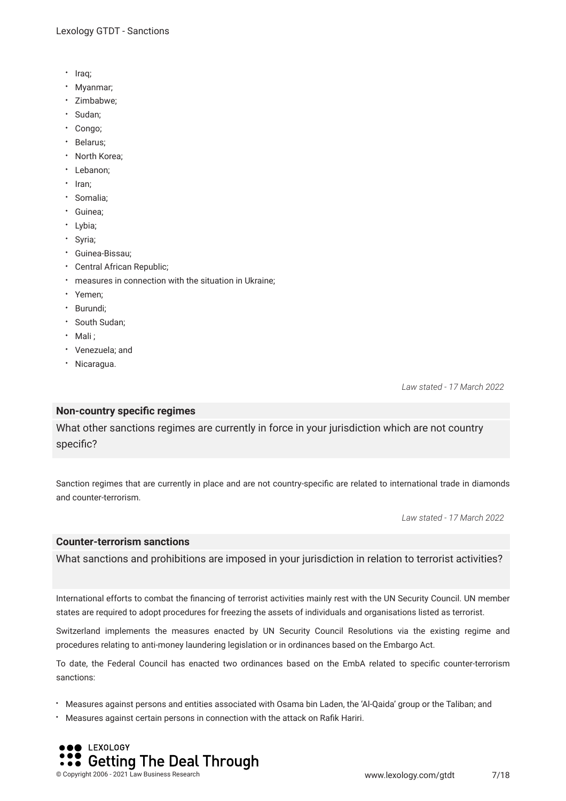- Iraq;
- Myanmar;
- Zimbabwe;
- Sudan;
- Congo;
- Belarus:
- North Korea;
- Lebanon;
- Iran:
- Somalia;
- Guinea;
- Lybia;
- Syria;
- Guinea-Bissau;
- Central African Republic;
- measures in connection with the situation in Ukraine;
- Yemen;
- Burundi;
- \* South Sudan:
- Mali ;
- Venezuela; and
- Nicaragua.

*Law stated - 17 March 2022*

#### **Non-country specifc regimes**

What other sanctions regimes are currently in force in your jurisdiction which are not country specific?

Sanction regimes that are currently in place and are not country-specifc are related to international trade in diamonds and counter-terrorism.

*Law stated - 17 March 2022*

#### **Counter-terrorism sanctions**

What sanctions and prohibitions are imposed in your jurisdiction in relation to terrorist activities?

International efforts to combat the fnancing of terrorist activities mainly rest with the UN Security Council. UN member states are required to adopt procedures for freezing the assets of individuals and organisations listed as terrorist.

Switzerland implements the measures enacted by UN Security Council Resolutions via the existing regime and procedures relating to anti-money laundering legislation or in ordinances based on the Embargo Act.

To date, the Federal Council has enacted two ordinances based on the EmbA related to specifc counter-terrorism sanctions:

- Measures against persons and entities associated with Osama bin Laden, the 'Al-Qaida' group or the Taliban; and
- Measures against certain persons in connection with the attack on Rafk Hariri.

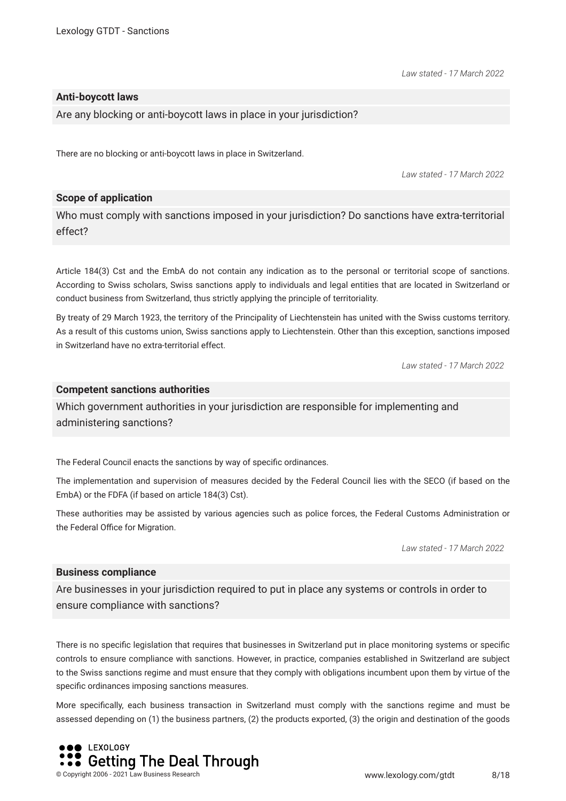**Anti-boycott laws**

Are any blocking or anti-boycott laws in place in your jurisdiction?

There are no blocking or anti-boycott laws in place in Switzerland.

*Law stated - 17 March 2022*

*Law stated - 17 March 2022*

#### **Scope of application**

Who must comply with sanctions imposed in your jurisdiction? Do sanctions have extra-territorial effect?

Article 184(3) Cst and the EmbA do not contain any indication as to the personal or territorial scope of sanctions. According to Swiss scholars, Swiss sanctions apply to individuals and legal entities that are located in Switzerland or conduct business from Switzerland, thus strictly applying the principle of territoriality.

By treaty of 29 March 1923, the territory of the Principality of Liechtenstein has united with the Swiss customs territory. As a result of this customs union, Swiss sanctions apply to Liechtenstein. Other than this exception, sanctions imposed in Switzerland have no extra-territorial effect.

*Law stated - 17 March 2022*

#### **Competent sanctions authorities**

Which government authorities in your jurisdiction are responsible for implementing and administering sanctions?

The Federal Council enacts the sanctions by way of specifc ordinances.

The implementation and supervision of measures decided by the Federal Council lies with the SECO (if based on the EmbA) or the FDFA (if based on article 184(3) Cst).

These authorities may be assisted by various agencies such as police forces, the Federal Customs Administration or the Federal Office for Migration.

*Law stated - 17 March 2022*

#### **Business compliance**

Are businesses in your jurisdiction required to put in place any systems or controls in order to ensure compliance with sanctions?

There is no specifc legislation that requires that businesses in Switzerland put in place monitoring systems or specifc controls to ensure compliance with sanctions. However, in practice, companies established in Switzerland are subject to the Swiss sanctions regime and must ensure that they comply with obligations incumbent upon them by virtue of the specifc ordinances imposing sanctions measures.

More specifcally, each business transaction in Switzerland must comply with the sanctions regime and must be assessed depending on (1) the business partners, (2) the products exported, (3) the origin and destination of the goods

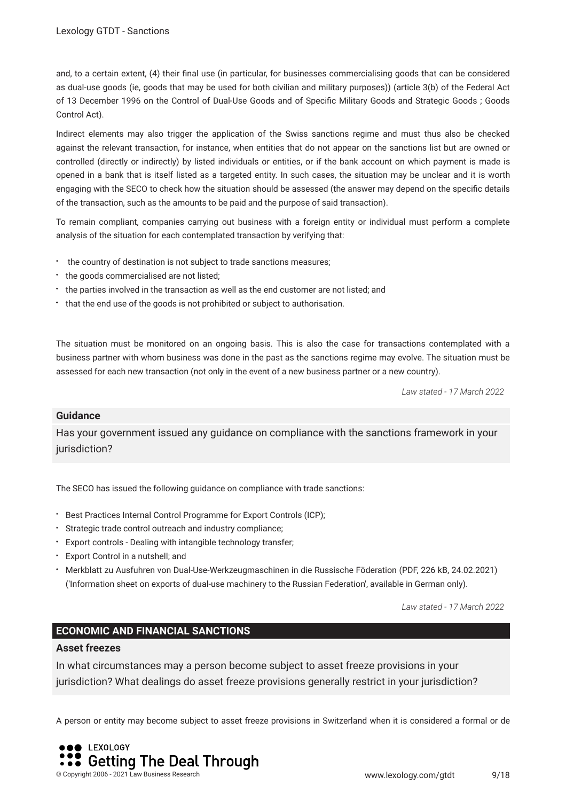and, to a certain extent, (4) their fnal use (in particular, for businesses commercialising goods that can be considered as dual-use goods (ie, goods that may be used for both civilian and military purposes)) (article 3(b) of the Federal Act of 13 December 1996 on the Control of Dual-Use Goods and of Specifc Military Goods and Strategic Goods ; Goods Control Act).

Indirect elements may also trigger the application of the Swiss sanctions regime and must thus also be checked against the relevant transaction, for instance, when entities that do not appear on the sanctions list but are owned or controlled (directly or indirectly) by listed individuals or entities, or if the bank account on which payment is made is opened in a bank that is itself listed as a targeted entity. In such cases, the situation may be unclear and it is worth engaging with the SECO to check how the situation should be assessed (the answer may depend on the specifc details of the transaction, such as the amounts to be paid and the purpose of said transaction).

To remain compliant, companies carrying out business with a foreign entity or individual must perform a complete analysis of the situation for each contemplated transaction by verifying that:

- the country of destination is not subject to trade sanctions measures;
- the goods commercialised are not listed;
- the parties involved in the transaction as well as the end customer are not listed; and
- that the end use of the goods is not prohibited or subject to authorisation.

The situation must be monitored on an ongoing basis. This is also the case for transactions contemplated with a business partner with whom business was done in the past as the sanctions regime may evolve. The situation must be assessed for each new transaction (not only in the event of a new business partner or a new country).

*Law stated - 17 March 2022*

#### **Guidance**

Has your government issued any guidance on compliance with the sanctions framework in your jurisdiction?

The SECO has issued the following guidance on compliance with trade sanctions:

- Best Practices Internal Control Programme for Export Controls (ICP);
- Strategic trade control outreach and industry compliance;
- Export controls Dealing with intangible technology transfer;
- Export Control in a nutshell; and
- Merkblatt zu Ausfuhren von Dual-Use-Werkzeugmaschinen in die Russische Föderation (PDF, 226 kB, 24.02.2021) ('Information sheet on exports of dual-use machinery to the Russian Federation', available in German only).

*Law stated - 17 March 2022*

#### **ECONOMIC AND FINANCIAL SANCTIONS**

#### **Asset freezes**

In what circumstances may a person become subject to asset freeze provisions in your jurisdiction? What dealings do asset freeze provisions generally restrict in your jurisdiction?

A person or entity may become subject to asset freeze provisions in Switzerland when it is considered a formal or de

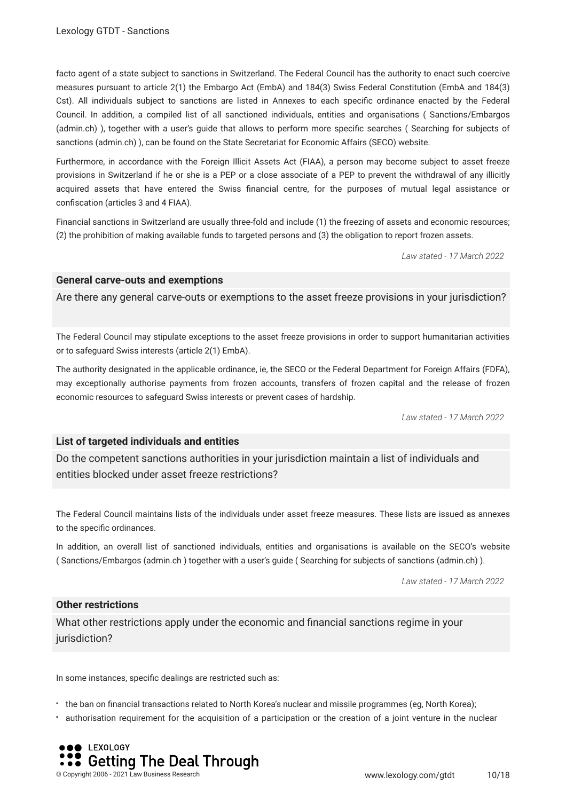facto agent of a state subject to sanctions in Switzerland. The Federal Council has the authority to enact such coercive measures pursuant to article 2(1) the Embargo Act (EmbA) and 184(3) Swiss Federal Constitution (EmbA and 184(3) Cst). All individuals subject to sanctions are listed in Annexes to each specifc ordinance enacted by the Federal Council. In addition, a compiled list of all sanctioned individuals, entities and organisations ( Sanctions/Embargos (admin.ch) ), together with a user's guide that allows to perform more specifc searches ( Searching for subjects of sanctions (admin.ch) ), can be found on the State Secretariat for Economic Affairs (SECO) website.

Furthermore, in accordance with the Foreign Illicit Assets Act (FIAA), a person may become subject to asset freeze provisions in Switzerland if he or she is a PEP or a close associate of a PEP to prevent the withdrawal of any illicitly acquired assets that have entered the Swiss fnancial centre, for the purposes of mutual legal assistance or confscation (articles 3 and 4 FIAA).

Financial sanctions in Switzerland are usually three-fold and include (1) the freezing of assets and economic resources; (2) the prohibition of making available funds to targeted persons and (3) the obligation to report frozen assets.

*Law stated - 17 March 2022*

#### **General carve-outs and exemptions**

Are there any general carve-outs or exemptions to the asset freeze provisions in your jurisdiction?

The Federal Council may stipulate exceptions to the asset freeze provisions in order to support humanitarian activities or to safeguard Swiss interests (article 2(1) EmbA).

The authority designated in the applicable ordinance, ie, the SECO or the Federal Department for Foreign Affairs (FDFA), may exceptionally authorise payments from frozen accounts, transfers of frozen capital and the release of frozen economic resources to safeguard Swiss interests or prevent cases of hardship.

*Law stated - 17 March 2022*

#### **List of targeted individuals and entities**

Do the competent sanctions authorities in your jurisdiction maintain a list of individuals and entities blocked under asset freeze restrictions?

The Federal Council maintains lists of the individuals under asset freeze measures. These lists are issued as annexes to the specific ordinances.

In addition, an overall list of sanctioned individuals, entities and organisations is available on the SECO's website ( Sanctions/Embargos (admin.ch ) together with a user's guide ( Searching for subjects of sanctions (admin.ch) ).

*Law stated - 17 March 2022*

#### **Other restrictions**

What other restrictions apply under the economic and fnancial sanctions regime in your jurisdiction?

In some instances, specifc dealings are restricted such as:

the ban on fnancial transactions related to North Korea's nuclear and missile programmes (eg, North Korea);

authorisation requirement for the acquisition of a participation or the creation of a joint venture in the nuclear

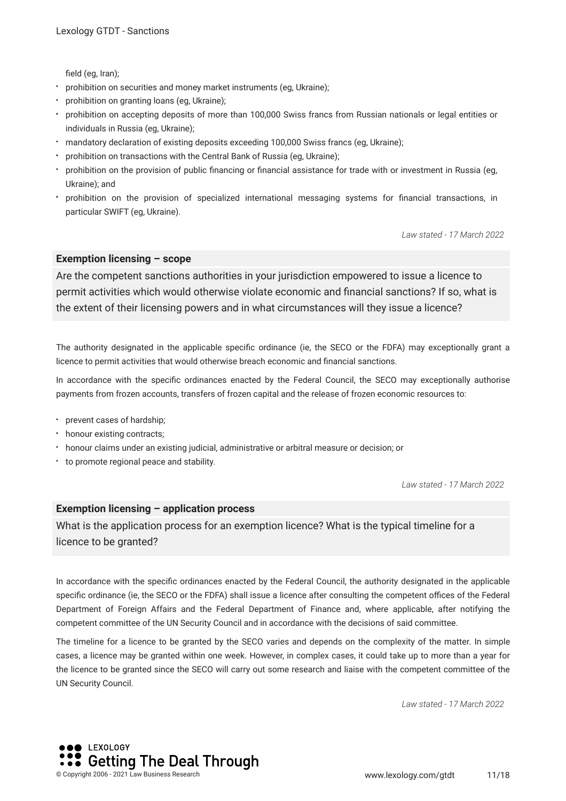field (eg, Iran);

- prohibition on securities and money market instruments (eg, Ukraine);
- prohibition on granting loans (eg, Ukraine);
- prohibition on accepting deposits of more than 100,000 Swiss francs from Russian nationals or legal entities or individuals in Russia (eg, Ukraine);
- mandatory declaration of existing deposits exceeding 100,000 Swiss francs (eg, Ukraine);
- prohibition on transactions with the Central Bank of Russia (eg, Ukraine);
- prohibition on the provision of public fnancing or fnancial assistance for trade with or investment in Russia (eg, Ukraine); and
- prohibition on the provision of specialized international messaging systems for fnancial transactions, in particular SWIFT (eg, Ukraine).

*Law stated - 17 March 2022*

#### **Exemption licensing – scope**

Are the competent sanctions authorities in your jurisdiction empowered to issue a licence to permit activities which would otherwise violate economic and fnancial sanctions? If so, what is the extent of their licensing powers and in what circumstances will they issue a licence?

The authority designated in the applicable specifc ordinance (ie, the SECO or the FDFA) may exceptionally grant a licence to permit activities that would otherwise breach economic and fnancial sanctions.

In accordance with the specifc ordinances enacted by the Federal Council, the SECO may exceptionally authorise payments from frozen accounts, transfers of frozen capital and the release of frozen economic resources to:

- prevent cases of hardship;
- honour existing contracts;
- honour claims under an existing judicial, administrative or arbitral measure or decision; or
- \* to promote regional peace and stability.

*Law stated - 17 March 2022*

#### **Exemption licensing – application process**

What is the application process for an exemption licence? What is the typical timeline for a licence to be granted?

In accordance with the specifc ordinances enacted by the Federal Council, the authority designated in the applicable specific ordinance (ie, the SECO or the FDFA) shall issue a licence after consulting the competent offices of the Federal Department of Foreign Affairs and the Federal Department of Finance and, where applicable, after notifying the competent committee of the UN Security Council and in accordance with the decisions of said committee.

The timeline for a licence to be granted by the SECO varies and depends on the complexity of the matter. In simple cases, a licence may be granted within one week. However, in complex cases, it could take up to more than a year for the licence to be granted since the SECO will carry out some research and liaise with the competent committee of the UN Security Council.

*Law stated - 17 March 2022*

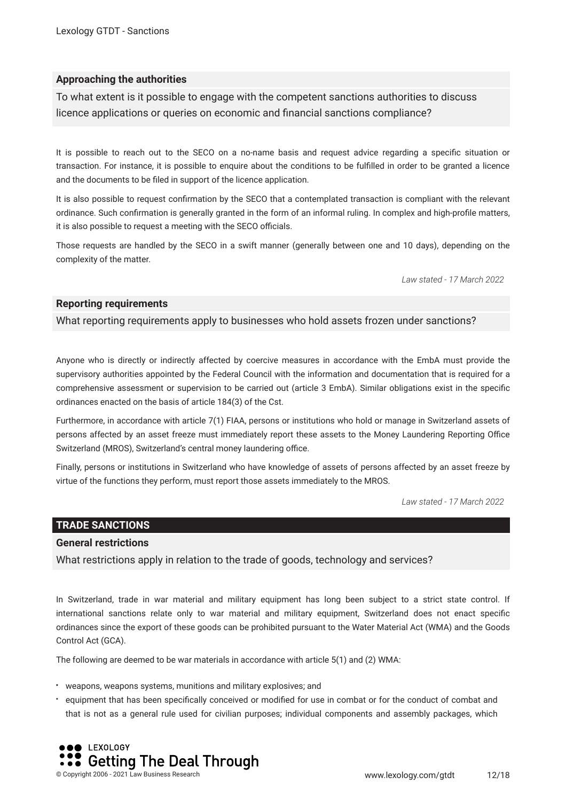#### **Approaching the authorities**

To what extent is it possible to engage with the competent sanctions authorities to discuss licence applications or queries on economic and fnancial sanctions compliance?

It is possible to reach out to the SECO on a no-name basis and request advice regarding a specifc situation or transaction. For instance, it is possible to enquire about the conditions to be fulflled in order to be granted a licence and the documents to be fled in support of the licence application.

It is also possible to request confirmation by the SECO that a contemplated transaction is compliant with the relevant ordinance. Such confrmation is generally granted in the form of an informal ruling. In complex and high-profle matters, it is also possible to request a meeting with the SECO officials.

Those requests are handled by the SECO in a swift manner (generally between one and 10 days), depending on the complexity of the matter.

*Law stated - 17 March 2022*

#### **Reporting requirements**

What reporting requirements apply to businesses who hold assets frozen under sanctions?

Anyone who is directly or indirectly affected by coercive measures in accordance with the EmbA must provide the supervisory authorities appointed by the Federal Council with the information and documentation that is required for a comprehensive assessment or supervision to be carried out (article 3 EmbA). Similar obligations exist in the specifc ordinances enacted on the basis of article 184(3) of the Cst.

Furthermore, in accordance with article 7(1) FIAA, persons or institutions who hold or manage in Switzerland assets of persons affected by an asset freeze must immediately report these assets to the Money Laundering Reporting Office Switzerland (MROS), Switzerland's central money laundering office.

Finally, persons or institutions in Switzerland who have knowledge of assets of persons affected by an asset freeze by virtue of the functions they perform, must report those assets immediately to the MROS.

*Law stated - 17 March 2022*

#### **TRADE SANCTIONS**

#### **General restrictions**

What restrictions apply in relation to the trade of goods, technology and services?

In Switzerland, trade in war material and military equipment has long been subject to a strict state control. If international sanctions relate only to war material and military equipment, Switzerland does not enact specifc ordinances since the export of these goods can be prohibited pursuant to the Water Material Act (WMA) and the Goods Control Act (GCA).

The following are deemed to be war materials in accordance with article 5(1) and (2) WMA:

- weapons, weapons systems, munitions and military explosives; and
- equipment that has been specifcally conceived or modifed for use in combat or for the conduct of combat and that is not as a general rule used for civilian purposes; individual components and assembly packages, which

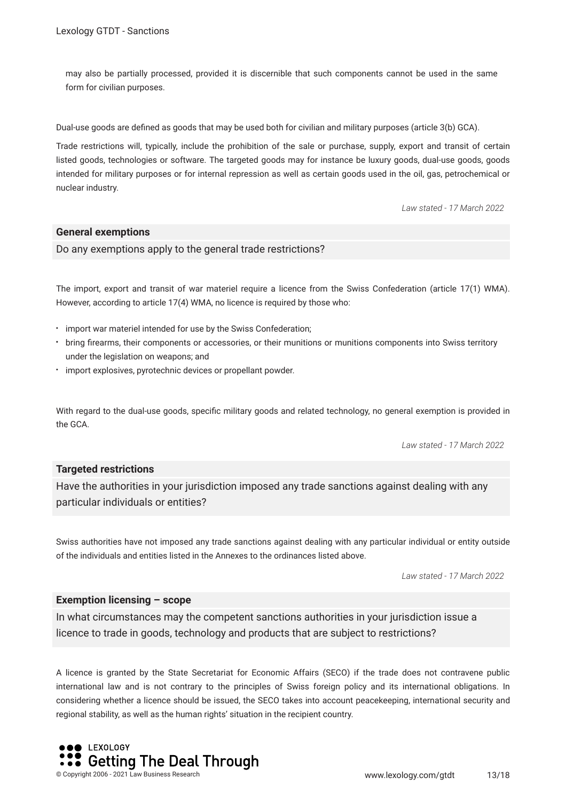may also be partially processed, provided it is discernible that such components cannot be used in the same form for civilian purposes.

Dual-use goods are defned as goods that may be used both for civilian and military purposes (article 3(b) GCA).

Trade restrictions will, typically, include the prohibition of the sale or purchase, supply, export and transit of certain listed goods, technologies or software. The targeted goods may for instance be luxury goods, dual-use goods, goods intended for military purposes or for internal repression as well as certain goods used in the oil, gas, petrochemical or nuclear industry.

*Law stated - 17 March 2022*

#### **General exemptions**

Do any exemptions apply to the general trade restrictions?

The import, export and transit of war materiel require a licence from the Swiss Confederation (article 17(1) WMA). However, according to article 17(4) WMA, no licence is required by those who:

- import war materiel intended for use by the Swiss Confederation;
- bring frearms, their components or accessories, or their munitions or munitions components into Swiss territory under the legislation on weapons; and
- $\cdot$  import explosives, pyrotechnic devices or propellant powder.

With regard to the dual-use goods, specifc military goods and related technology, no general exemption is provided in the GCA.

*Law stated - 17 March 2022*

#### **Targeted restrictions**

Have the authorities in your jurisdiction imposed any trade sanctions against dealing with any particular individuals or entities?

Swiss authorities have not imposed any trade sanctions against dealing with any particular individual or entity outside of the individuals and entities listed in the Annexes to the ordinances listed above.

*Law stated - 17 March 2022*

#### **Exemption licensing – scope**

In what circumstances may the competent sanctions authorities in your jurisdiction issue a licence to trade in goods, technology and products that are subject to restrictions?

A licence is granted by the State Secretariat for Economic Affairs (SECO) if the trade does not contravene public international law and is not contrary to the principles of Swiss foreign policy and its international obligations. In considering whether a licence should be issued, the SECO takes into account peacekeeping, international security and regional stability, as well as the human rights' situation in the recipient country.

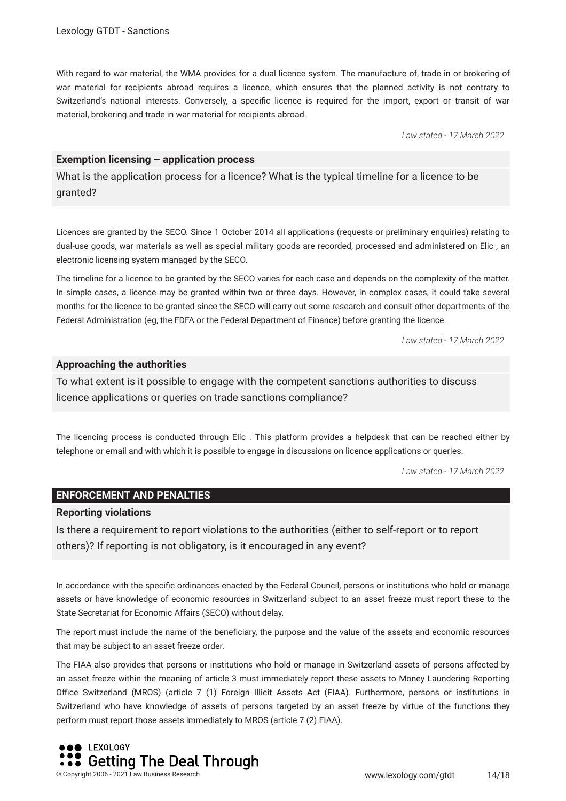With regard to war material, the WMA provides for a dual licence system. The manufacture of, trade in or brokering of war material for recipients abroad requires a licence, which ensures that the planned activity is not contrary to Switzerland's national interests. Conversely, a specifc licence is required for the import, export or transit of war material, brokering and trade in war material for recipients abroad.

*Law stated - 17 March 2022*

#### **Exemption licensing – application process**

What is the application process for a licence? What is the typical timeline for a licence to be granted?

Licences are granted by the SECO. Since 1 October 2014 all applications (requests or preliminary enquiries) relating to dual-use goods, war materials as well as special military goods are recorded, processed and administered on Elic , an electronic licensing system managed by the SECO.

The timeline for a licence to be granted by the SECO varies for each case and depends on the complexity of the matter. In simple cases, a licence may be granted within two or three days. However, in complex cases, it could take several months for the licence to be granted since the SECO will carry out some research and consult other departments of the Federal Administration (eg, the FDFA or the Federal Department of Finance) before granting the licence.

*Law stated - 17 March 2022*

#### **Approaching the authorities**

To what extent is it possible to engage with the competent sanctions authorities to discuss licence applications or queries on trade sanctions compliance?

The licencing process is conducted through Elic . This platform provides a helpdesk that can be reached either by telephone or email and with which it is possible to engage in discussions on licence applications or queries.

*Law stated - 17 March 2022*

#### **ENFORCEMENT AND PENALTIES**

#### **Reporting violations**

Is there a requirement to report violations to the authorities (either to self-report or to report others)? If reporting is not obligatory, is it encouraged in any event?

In accordance with the specifc ordinances enacted by the Federal Council, persons or institutions who hold or manage assets or have knowledge of economic resources in Switzerland subject to an asset freeze must report these to the State Secretariat for Economic Affairs (SECO) without delay.

The report must include the name of the benefciary, the purpose and the value of the assets and economic resources that may be subject to an asset freeze order.

The FIAA also provides that persons or institutions who hold or manage in Switzerland assets of persons affected by an asset freeze within the meaning of article 3 must immediately report these assets to Money Laundering Reporting Office Switzerland (MROS) (article 7 (1) Foreign Illicit Assets Act (FIAA). Furthermore, persons or institutions in Switzerland who have knowledge of assets of persons targeted by an asset freeze by virtue of the functions they perform must report those assets immediately to MROS (article 7 (2) FIAA).

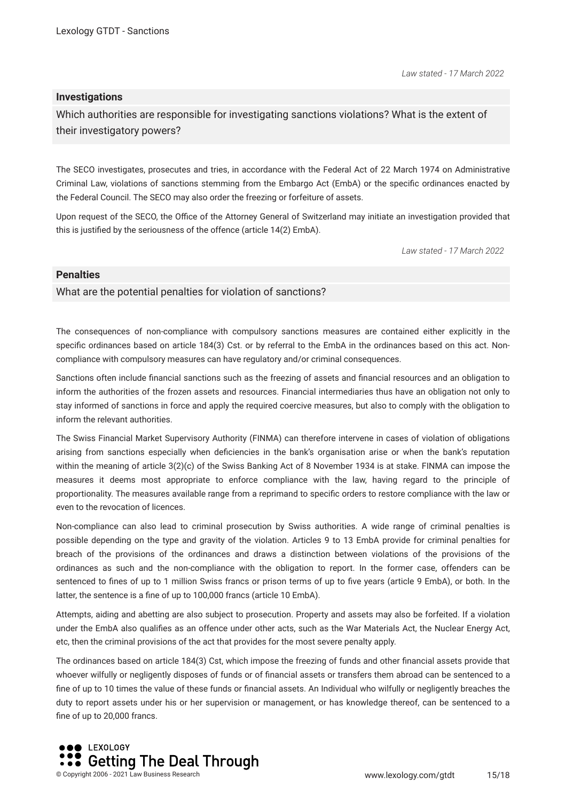#### **Investigations**

Which authorities are responsible for investigating sanctions violations? What is the extent of their investigatory powers?

The SECO investigates, prosecutes and tries, in accordance with the Federal Act of 22 March 1974 on Administrative Criminal Law, violations of sanctions stemming from the Embargo Act (EmbA) or the specifc ordinances enacted by the Federal Council. The SECO may also order the freezing or forfeiture of assets.

Upon request of the SECO, the Office of the Attorney General of Switzerland may initiate an investigation provided that this is justifed by the seriousness of the offence (article 14(2) EmbA).

*Law stated - 17 March 2022*

#### **Penalties**

What are the potential penalties for violation of sanctions?

The consequences of non-compliance with compulsory sanctions measures are contained either explicitly in the specific ordinances based on article 184(3) Cst. or by referral to the EmbA in the ordinances based on this act. Noncompliance with compulsory measures can have regulatory and/or criminal consequences.

Sanctions often include fnancial sanctions such as the freezing of assets and fnancial resources and an obligation to inform the authorities of the frozen assets and resources. Financial intermediaries thus have an obligation not only to stay informed of sanctions in force and apply the required coercive measures, but also to comply with the obligation to inform the relevant authorities.

The Swiss Financial Market Supervisory Authority (FINMA) can therefore intervene in cases of violation of obligations arising from sanctions especially when defciencies in the bank's organisation arise or when the bank's reputation within the meaning of article 3(2)(c) of the Swiss Banking Act of 8 November 1934 is at stake. FINMA can impose the measures it deems most appropriate to enforce compliance with the law, having regard to the principle of proportionality. The measures available range from a reprimand to specifc orders to restore compliance with the law or even to the revocation of licences.

Non-compliance can also lead to criminal prosecution by Swiss authorities. A wide range of criminal penalties is possible depending on the type and gravity of the violation. Articles 9 to 13 EmbA provide for criminal penalties for breach of the provisions of the ordinances and draws a distinction between violations of the provisions of the ordinances as such and the non-compliance with the obligation to report. In the former case, offenders can be sentenced to fines of up to 1 million Swiss francs or prison terms of up to five years (article 9 EmbA), or both. In the latter, the sentence is a fne of up to 100,000 francs (article 10 EmbA).

Attempts, aiding and abetting are also subject to prosecution. Property and assets may also be forfeited. If a violation under the EmbA also qualifes as an offence under other acts, such as the War Materials Act, the Nuclear Energy Act, etc, then the criminal provisions of the act that provides for the most severe penalty apply.

The ordinances based on article 184(3) Cst, which impose the freezing of funds and other fnancial assets provide that whoever wilfully or negligently disposes of funds or of fnancial assets or transfers them abroad can be sentenced to a fne of up to 10 times the value of these funds or fnancial assets. An Individual who wilfully or negligently breaches the duty to report assets under his or her supervision or management, or has knowledge thereof, can be sentenced to a fine of up to 20,000 francs.

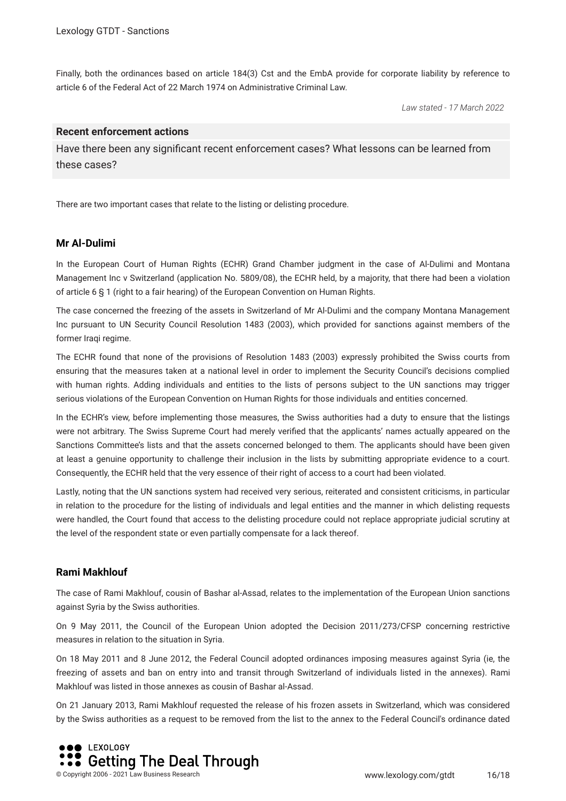Finally, both the ordinances based on article 184(3) Cst and the EmbA provide for corporate liability by reference to article 6 of the Federal Act of 22 March 1974 on Administrative Criminal Law.

*Law stated - 17 March 2022*

#### **Recent enforcement actions**

Have there been any signifcant recent enforcement cases? What lessons can be learned from these cases?

There are two important cases that relate to the listing or delisting procedure.

#### **Mr Al-Dulimi**

In the European Court of Human Rights (ECHR) Grand Chamber judgment in the case of Al-Dulimi and Montana Management Inc v Switzerland (application No. 5809/08), the ECHR held, by a majority, that there had been a violation of article 6 § 1 (right to a fair hearing) of the European Convention on Human Rights.

The case concerned the freezing of the assets in Switzerland of Mr Al-Dulimi and the company Montana Management Inc pursuant to UN Security Council Resolution 1483 (2003), which provided for sanctions against members of the former Iraqi regime.

The ECHR found that none of the provisions of Resolution 1483 (2003) expressly prohibited the Swiss courts from ensuring that the measures taken at a national level in order to implement the Security Council's decisions complied with human rights. Adding individuals and entities to the lists of persons subject to the UN sanctions may trigger serious violations of the European Convention on Human Rights for those individuals and entities concerned.

In the ECHR's view, before implementing those measures, the Swiss authorities had a duty to ensure that the listings were not arbitrary. The Swiss Supreme Court had merely verifed that the applicants' names actually appeared on the Sanctions Committee's lists and that the assets concerned belonged to them. The applicants should have been given at least a genuine opportunity to challenge their inclusion in the lists by submitting appropriate evidence to a court. Consequently, the ECHR held that the very essence of their right of access to a court had been violated.

Lastly, noting that the UN sanctions system had received very serious, reiterated and consistent criticisms, in particular in relation to the procedure for the listing of individuals and legal entities and the manner in which delisting requests were handled, the Court found that access to the delisting procedure could not replace appropriate judicial scrutiny at the level of the respondent state or even partially compensate for a lack thereof.

#### **Rami Makhlouf**

The case of Rami Makhlouf, cousin of Bashar al-Assad, relates to the implementation of the European Union sanctions against Syria by the Swiss authorities.

On 9 May 2011, the Council of the European Union adopted the Decision 2011/273/CFSP concerning restrictive measures in relation to the situation in Syria.

On 18 May 2011 and 8 June 2012, the Federal Council adopted ordinances imposing measures against Syria (ie, the freezing of assets and ban on entry into and transit through Switzerland of individuals listed in the annexes). Rami Makhlouf was listed in those annexes as cousin of Bashar al-Assad.

On 21 January 2013, Rami Makhlouf requested the release of his frozen assets in Switzerland, which was considered by the Swiss authorities as a request to be removed from the list to the annex to the Federal Council's ordinance dated

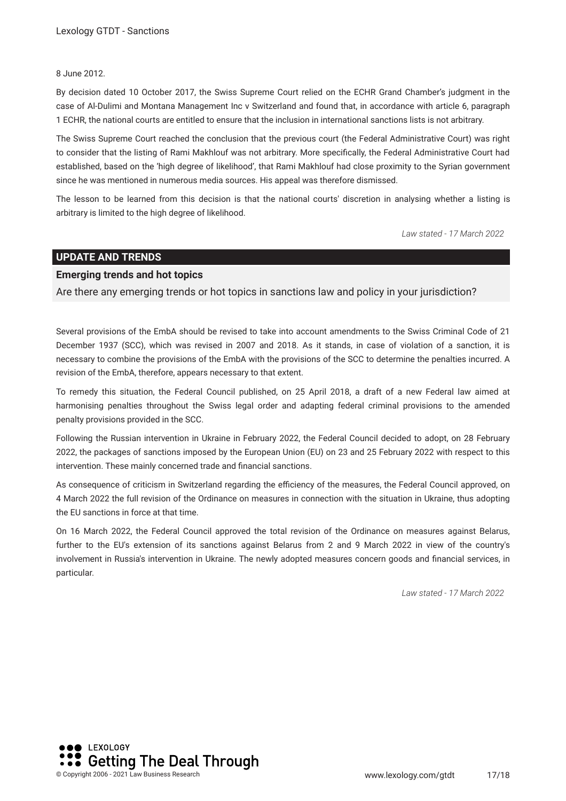#### 8 June 2012.

By decision dated 10 October 2017, the Swiss Supreme Court relied on the ECHR Grand Chamber's judgment in the case of Al-Dulimi and Montana Management Inc v Switzerland and found that, in accordance with article 6, paragraph 1 ECHR, the national courts are entitled to ensure that the inclusion in international sanctions lists is not arbitrary.

The Swiss Supreme Court reached the conclusion that the previous court (the Federal Administrative Court) was right to consider that the listing of Rami Makhlouf was not arbitrary. More specifcally, the Federal Administrative Court had established, based on the 'high degree of likelihood', that Rami Makhlouf had close proximity to the Syrian government since he was mentioned in numerous media sources. His appeal was therefore dismissed.

The lesson to be learned from this decision is that the national courts' discretion in analysing whether a listing is arbitrary is limited to the high degree of likelihood.

*Law stated - 17 March 2022*

#### **UPDATE AND TRENDS**

#### **Emerging trends and hot topics**

Are there any emerging trends or hot topics in sanctions law and policy in your jurisdiction?

Several provisions of the EmbA should be revised to take into account amendments to the Swiss Criminal Code of 21 December 1937 (SCC), which was revised in 2007 and 2018. As it stands, in case of violation of a sanction, it is necessary to combine the provisions of the EmbA with the provisions of the SCC to determine the penalties incurred. A revision of the EmbA, therefore, appears necessary to that extent.

To remedy this situation, the Federal Council published, on 25 April 2018, a draft of a new Federal law aimed at harmonising penalties throughout the Swiss legal order and adapting federal criminal provisions to the amended penalty provisions provided in the SCC.

Following the Russian intervention in Ukraine in February 2022, the Federal Council decided to adopt, on 28 February 2022, the packages of sanctions imposed by the European Union (EU) on 23 and 25 February 2022 with respect to this intervention. These mainly concerned trade and fnancial sanctions.

As consequence of criticism in Switzerland regarding the efficiency of the measures, the Federal Council approved, on 4 March 2022 the full revision of the Ordinance on measures in connection with the situation in Ukraine, thus adopting the EU sanctions in force at that time.

On 16 March 2022, the Federal Council approved the total revision of the Ordinance on measures against Belarus, further to the EU's extension of its sanctions against Belarus from 2 and 9 March 2022 in view of the country's involvement in Russia's intervention in Ukraine. The newly adopted measures concern goods and fnancial services, in particular.

*Law stated - 17 March 2022*